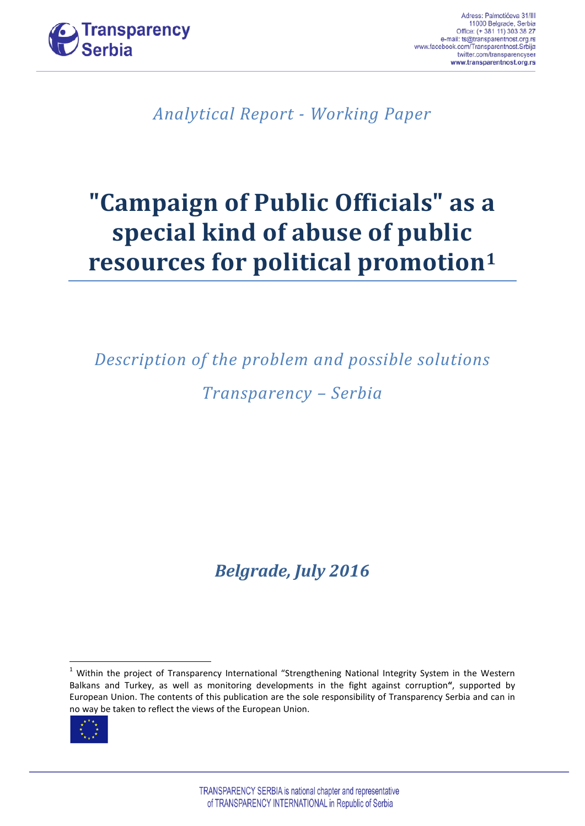

*Analytical Report - Working Paper*

# **"Campaign of Public Officials" as a special kind of abuse of public resources for political promotion[1](#page-0-0)**

*Description of the problem and possible solutions Transparency – Serbia*

*Belgrade, July 2016*

<span id="page-0-1"></span><span id="page-0-0"></span><sup>&</sup>lt;sup>1</sup> Within the project of Transparency International "Strengthening National Integrity System in the Western Balkans and Turkey, as well as monitoring developments in the fight against corruption**"**, supported by European Union. The contents of this publication are the sole responsibility of Transparency Serbia and can in no way be taken to reflect the views of the European Union.

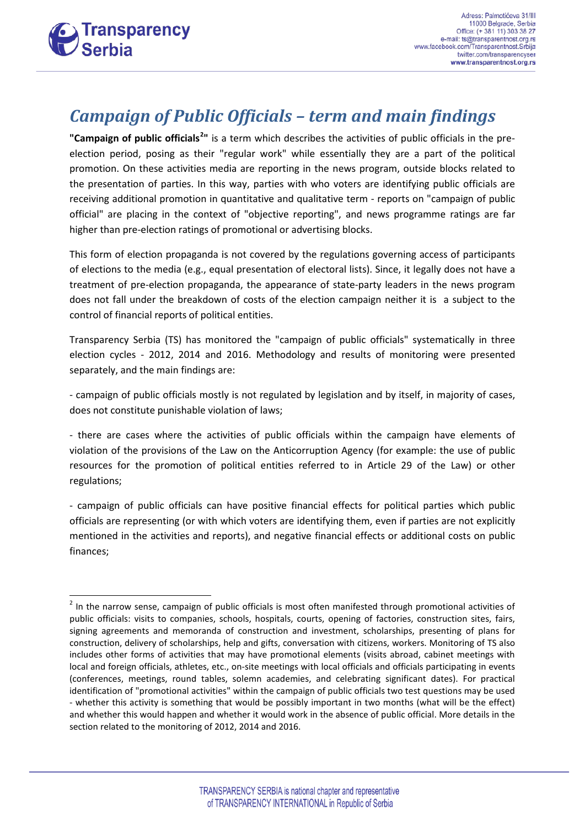

#### *Campaign of Public Officials – term and main findings*

"Campaign of public officials<sup>[2](#page-0-1)</sup>" is a term which describes the activities of public officials in the preelection period, posing as their "regular work" while essentially they are a part of the political promotion. On these activities media are reporting in the news program, outside blocks related to the presentation of parties. In this way, parties with who voters are identifying public officials are receiving additional promotion in quantitative and qualitative term - reports on "campaign of public official" are placing in the context of "objective reporting", and news programme ratings are far higher than pre-election ratings of promotional or advertising blocks.

This form of election propaganda is not covered by the regulations governing access of participants of elections to the media (e.g., equal presentation of electoral lists). Since, it legally does not have a treatment of pre-election propaganda, the appearance of state-party leaders in the news program does not fall under the breakdown of costs of the election campaign neither it is a subject to the control of financial reports of political entities.

Transparency Serbia (TS) has monitored the "campaign of public officials" systematically in three election cycles - 2012, 2014 and 2016. Methodology and results of monitoring were presented separately, and the main findings are:

- campaign of public officials mostly is not regulated by legislation and by itself, in majority of cases, does not constitute punishable violation of laws;

- there are cases where the activities of public officials within the campaign have elements of violation of the provisions of the Law on the Anticorruption Agency (for example: the use of public resources for the promotion of political entities referred to in Article 29 of the Law) or other regulations;

- campaign of public officials can have positive financial effects for political parties which public officials are representing (or with which voters are identifying them, even if parties are not explicitly mentioned in the activities and reports), and negative financial effects or additional costs on public finances;

<span id="page-1-0"></span> $2$  In the narrow sense, campaign of public officials is most often manifested through promotional activities of public officials: visits to companies, schools, hospitals, courts, opening of factories, construction sites, fairs, signing agreements and memoranda of construction and investment, scholarships, presenting of plans for construction, delivery of scholarships, help and gifts, conversation with citizens, workers. Monitoring of TS also includes other forms of activities that may have promotional elements (visits abroad, cabinet meetings with local and foreign officials, athletes, etc., on-site meetings with local officials and officials participating in events (conferences, meetings, round tables, solemn academies, and celebrating significant dates). For practical identification of "promotional activities" within the campaign of public officials two test questions may be used - whether this activity is something that would be possibly important in two months (what will be the effect) and whether this would happen and whether it would work in the absence of public official. More details in the section related to the monitoring of 2012, 2014 and 2016.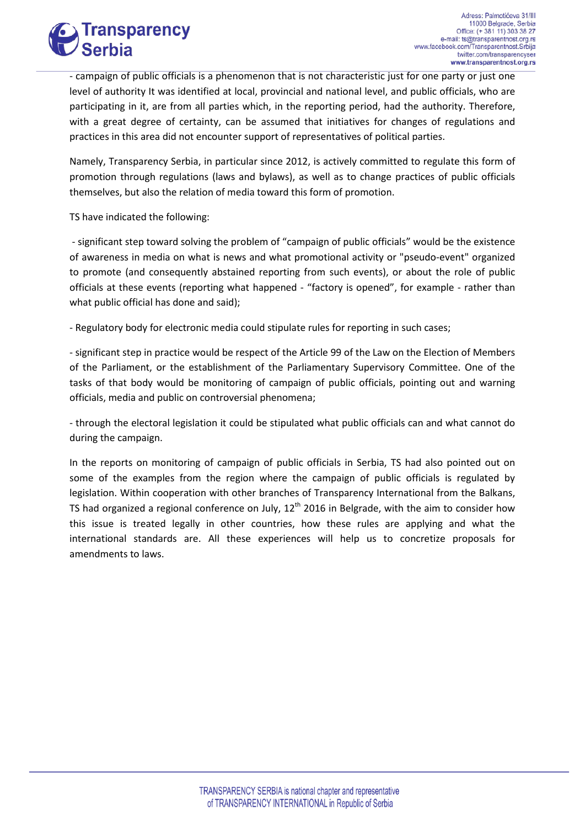

- campaign of public officials is a phenomenon that is not characteristic just for one party or just one level of authority It was identified at local, provincial and national level, and public officials, who are participating in it, are from all parties which, in the reporting period, had the authority. Therefore, with a great degree of certainty, can be assumed that initiatives for changes of regulations and practices in this area did not encounter support of representatives of political parties.

Namely, Transparency Serbia, in particular since 2012, is actively committed to regulate this form of promotion through regulations (laws and bylaws), as well as to change practices of public officials themselves, but also the relation of media toward this form of promotion.

TS have indicated the following:

- significant step toward solving the problem of "campaign of public officials" would be the existence of awareness in media on what is news and what promotional activity or "pseudo-event" organized to promote (and consequently abstained reporting from such events), or about the role of public officials at these events (reporting what happened - "factory is opened", for example - rather than what public official has done and said);

- Regulatory body for electronic media could stipulate rules for reporting in such cases;

- significant step in practice would be respect of the Article 99 of the Law on the Election of Members of the Parliament, or the establishment of the Parliamentary Supervisory Committee. One of the tasks of that body would be monitoring of campaign of public officials, pointing out and warning officials, media and public on controversial phenomena;

- through the electoral legislation it could be stipulated what public officials can and what cannot do during the campaign.

In the reports on monitoring of campaign of public officials in Serbia, TS had also pointed out on some of the examples from the region where the campaign of public officials is regulated by legislation. Within cooperation with other branches of Transparency International from the Balkans, TS had organized a regional conference on July,  $12<sup>th</sup>$  2016 in Belgrade, with the aim to consider how this issue is treated legally in other countries, how these rules are applying and what the international standards are. All these experiences will help us to concretize proposals for amendments to laws.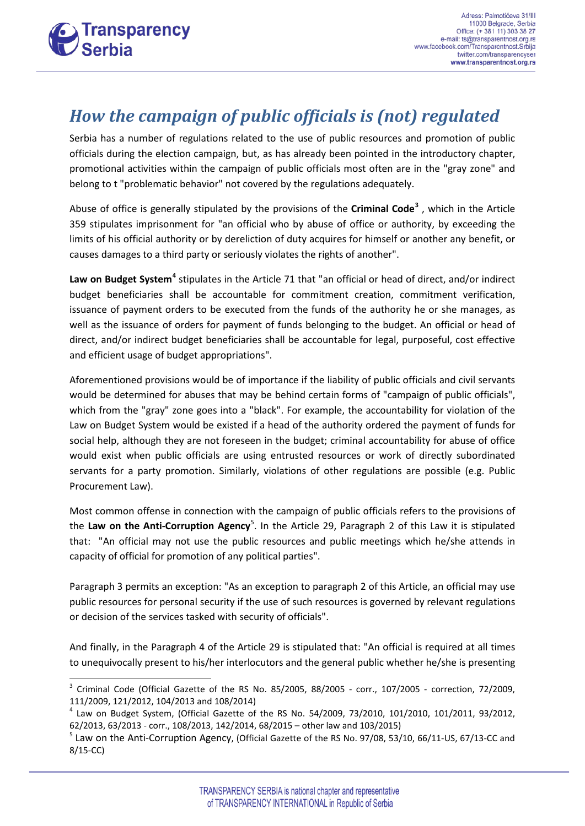

## *How the campaign of public officials is (not) regulated*

Serbia has a number of regulations related to the use of public resources and promotion of public officials during the election campaign, but, as has already been pointed in the introductory chapter, promotional activities within the campaign of public officials most often are in the "gray zone" and belong to t "problematic behavior" not covered by the regulations adequately.

Abuse of office is generally stipulated by the provisions of the **Criminal Code[3](#page-1-0)** , which in the Article 359 stipulates imprisonment for "an official who by abuse of office or authority, by exceeding the limits of his official authority or by dereliction of duty acquires for himself or another any benefit, or causes damages to a third party or seriously violates the rights of another".

**Law on Budget System[4](#page-3-0)** stipulates in the Article 71 that "an official or head of direct, and/or indirect budget beneficiaries shall be accountable for commitment creation, commitment verification, issuance of payment orders to be executed from the funds of the authority he or she manages, as well as the issuance of orders for payment of funds belonging to the budget. An official or head of direct, and/or indirect budget beneficiaries shall be accountable for legal, purposeful, cost effective and efficient usage of budget appropriations".

Aforementioned provisions would be of importance if the liability of public officials and civil servants would be determined for abuses that may be behind certain forms of "campaign of public officials", which from the "gray" zone goes into a "black". For example, the accountability for violation of the Law on Budget System would be existed if a head of the authority ordered the payment of funds for social help, although they are not foreseen in the budget; criminal accountability for abuse of office would exist when public officials are using entrusted resources or work of directly subordinated servants for a party promotion. Similarly, violations of other regulations are possible (e.g. Public Procurement Law).

Most common offense in connection with the campaign of public officials refers to the provisions of the **Law on the Anti-Corruption Agency**[5](#page-3-1) . In the Article 29, Paragraph 2 of this Law it is stipulated that: "An official may not use the public resources and public meetings which he/she attends in capacity of official for promotion of any political parties".

Paragraph 3 permits an exception: "As an exception to paragraph 2 of this Article, an official may use public resources for personal security if the use of such resources is governed by relevant regulations or decision of the services tasked with security of officials".

<span id="page-3-2"></span>And finally, in the Paragraph 4 of the Article 29 is stipulated that: "An official is required at all times to unequivocally present to his/her interlocutors and the general public whether he/she is presenting

 $3$  Criminal Code (Official Gazette of the RS No. 85/2005, 88/2005 - corr., 107/2005 - correction, 72/2009, 111/2009, 121/2012, 104/2013 and 108/2014)

<span id="page-3-0"></span> $4$  Law on Budget System, (Official Gazette of the RS No. 54/2009, 73/2010, 101/2010, 101/2011, 93/2012, 62/2013, 63/2013 - corr., 108/2013, 142/2014, 68/2015 – other law and 103/2015)

<span id="page-3-1"></span><sup>5</sup> Law on the Anti-Corruption Agency, (Official Gazette of the RS No. 97/08, 53/10, 66/11-US, 67/13-CC and 8/15-CC)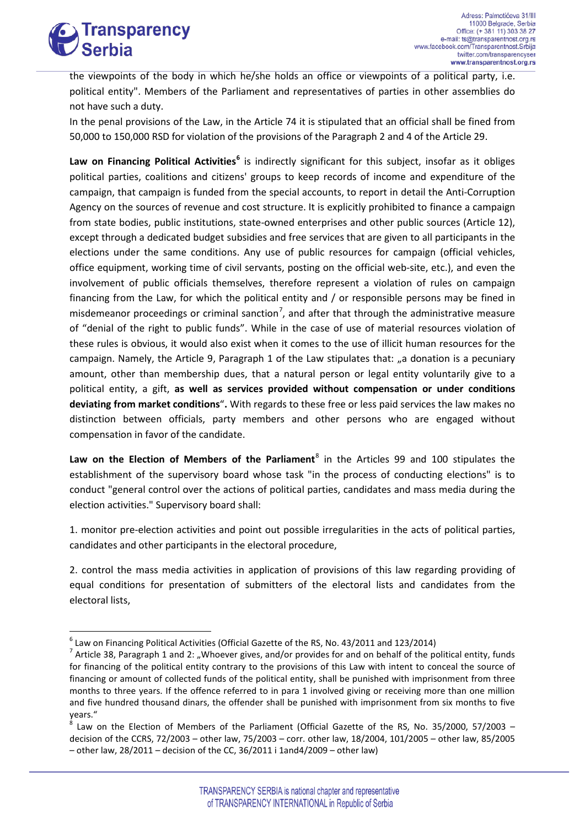

the viewpoints of the body in which he/she holds an office or viewpoints of a political party, i.e. political entity". Members of the Parliament and representatives of parties in other assemblies do not have such a duty.

In the penal provisions of the Law, in the Article 74 it is stipulated that an official shall be fined from 50,000 to 150,000 RSD for violation of the provisions of the Paragraph 2 and 4 of the Article 29.

**Law on Financing Political Activities[6](#page-3-2)** is indirectly significant for this subject, insofar as it obliges political parties, coalitions and citizens' groups to keep records of income and expenditure of the campaign, that campaign is funded from the special accounts, to report in detail the Anti-Corruption Agency on the sources of revenue and cost structure. It is explicitly prohibited to finance a campaign from state bodies, public institutions, state-owned enterprises and other public sources (Article 12), except through a dedicated budget subsidies and free services that are given to all participants in the elections under the same conditions. Any use of public resources for campaign (official vehicles, office equipment, working time of civil servants, posting on the official web-site, etc.), and even the involvement of public officials themselves, therefore represent a violation of rules on campaign financing from the Law, for which the political entity and / or responsible persons may be fined in misdemeanor proceedings or criminal sanction<sup>[7](#page-4-0)</sup>, and after that through the administrative measure of "denial of the right to public funds". While in the case of use of material resources violation of these rules is obvious, it would also exist when it comes to the use of illicit human resources for the campaign. Namely, the Article 9, Paragraph 1 of the Law stipulates that: "a donation is a pecuniary amount, other than membership dues, that a natural person or legal entity voluntarily give to a political entity, a gift, **as well as services provided without compensation or under conditions deviating from market conditions**"**.** With regards to these free or less paid services the law makes no distinction between officials, party members and other persons who are engaged without compensation in favor of the candidate.

Law on the Election of Members of the Parliament<sup>[8](#page-4-1)</sup> in the Articles 99 and 100 stipulates the establishment of the supervisory board whose task "in the process of conducting elections" is to conduct "general control over the actions of political parties, candidates and mass media during the election activities." Supervisory board shall:

1. monitor pre-election activities and point out possible irregularities in the acts of political parties, candidates and other participants in the electoral procedure,

2. control the mass media activities in application of provisions of this law regarding providing of equal conditions for presentation of submitters of the electoral lists and candidates from the electoral lists,

<span id="page-4-0"></span><sup>&</sup>lt;sup>6</sup> Law on Financing Political Activities (Official Gazette of the RS, No. 43/2011 and 123/2014)<br><sup>7</sup> Article 38, Paragraph 1 and 2: "Whoever gives, and/or provides for and on behalf of the political entity, funds for financing of the political entity contrary to the provisions of this Law with intent to conceal the source of financing or amount of collected funds of the political entity, shall be punished with imprisonment from three months to three years. If the offence referred to in para 1 involved giving or receiving more than one million and five hundred thousand dinars, the offender shall be punished with imprisonment from six months to five years."

<span id="page-4-2"></span><span id="page-4-1"></span><sup>8</sup> Law on the Election of Members of the Parliament (Official Gazette of the RS, No. 35/2000, 57/2003 – decision of the CCRS, 72/2003 – other law, 75/2003 – corr. other law, 18/2004, 101/2005 – other law, 85/2005 – other law, 28/2011 – decision of the CC, 36/2011 i 1and4/2009 – other law)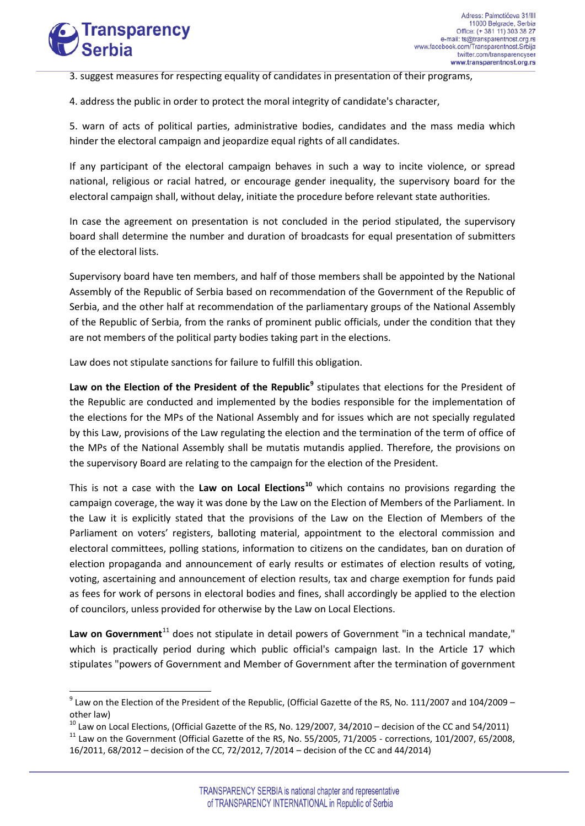

3. suggest measures for respecting equality of candidates in presentation of their programs,

4. address the public in order to protect the moral integrity of candidate's character,

5. warn of acts of political parties, administrative bodies, candidates and the mass media which hinder the electoral campaign and jeopardize equal rights of all candidates.

If any participant of the electoral campaign behaves in such a way to incite violence, or spread national, religious or racial hatred, or encourage gender inequality, the supervisory board for the electoral campaign shall, without delay, initiate the procedure before relevant state authorities.

In case the agreement on presentation is not concluded in the period stipulated, the supervisory board shall determine the number and duration of broadcasts for equal presentation of submitters of the electoral lists.

Supervisory board have ten members, and half of those members shall be appointed by the National Assembly of the Republic of Serbia based on recommendation of the Government of the Republic of Serbia, and the other half at recommendation of the parliamentary groups of the National Assembly of the Republic of Serbia, from the ranks of prominent public officials, under the condition that they are not members of the political party bodies taking part in the elections.

Law does not stipulate sanctions for failure to fulfill this obligation.

Law on the Election of the President of the Republic<sup>[9](#page-4-2)</sup> stipulates that elections for the President of the Republic are conducted and implemented by the bodies responsible for the implementation of the elections for the MPs of the National Assembly and for issues which are not specially regulated by this Law, provisions of the Law regulating the election and the termination of the term of office of the MPs of the National Assembly shall be mutatis mutandis applied. Therefore, the provisions on the supervisory Board are relating to the campaign for the election of the President.

This is not a case with the **Law on Local Elections[10](#page-5-0)** which contains no provisions regarding the campaign coverage, the way it was done by the Law on the Election of Members of the Parliament. In the Law it is explicitly stated that the provisions of the Law on the Election of Members of the Parliament on voters' registers, balloting material, appointment to the electoral commission and electoral committees, polling stations, information to citizens on the candidates, ban on duration of election propaganda and announcement of early results or estimates of election results of voting, voting, ascertaining and announcement of election results, tax and charge exemption for funds paid as fees for work of persons in electoral bodies and fines, shall accordingly be applied to the election of councilors, unless provided for otherwise by the Law on Local Elections.

Law on Government<sup>[11](#page-5-1)</sup> does not stipulate in detail powers of Government "in a technical mandate," which is practically period during which public official's campaign last. In the Article 17 which stipulates "powers of Government and Member of Government after the termination of government

 $9$  Law on the Election of the President of the Republic, (Official Gazette of the RS, No. 111/2007 and 104/2009 –

<span id="page-5-0"></span>other law)<br> $^{10}$  Law on Local Elections, (Official Gazette of the RS, No. 129/2007, 34/2010 – decision of the CC and 54/2011)

<span id="page-5-1"></span> $11$  Law on the Government (Official Gazette of the RS, No. 55/2005, 71/2005 - corrections, 101/2007, 65/2008, 16/2011, 68/2012 – decision of the CC, 72/2012, 7/2014 – decision of the CC and 44/2014)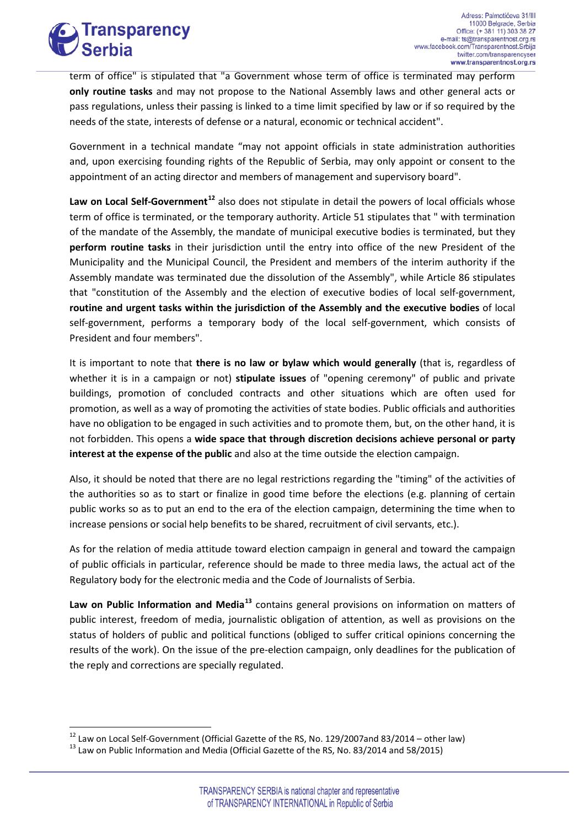

term of office" is stipulated that "a Government whose term of office is terminated may perform **only routine tasks** and may not propose to the National Assembly laws and other general acts or pass regulations, unless their passing is linked to a time limit specified by law or if so required by the needs of the state, interests of defense or a natural, economic or technical accident".

Government in a technical mandate "may not appoint officials in state administration authorities and, upon exercising founding rights of the Republic of Serbia, may only appoint or consent to the appointment of an acting director and members of management and supervisory board".

**Law on Local Self-Government[12](#page-5-1)** also does not stipulate in detail the powers of local officials whose term of office is terminated, or the temporary authority. Article 51 stipulates that " with termination of the mandate of the Assembly, the mandate of municipal executive bodies is terminated, but they **perform routine tasks** in their jurisdiction until the entry into office of the new President of the Municipality and the Municipal Council, the President and members of the interim authority if the Assembly mandate was terminated due the dissolution of the Assembly", while Article 86 stipulates that "constitution of the Assembly and the election of executive bodies of local self-government, **routine and urgent tasks within the jurisdiction of the Assembly and the executive bodies** of local self-government, performs a temporary body of the local self-government, which consists of President and four members".

It is important to note that **there is no law or bylaw which would generally** (that is, regardless of whether it is in a campaign or not) **stipulate issues** of "opening ceremony" of public and private buildings, promotion of concluded contracts and other situations which are often used for promotion, as well as a way of promoting the activities of state bodies. Public officials and authorities have no obligation to be engaged in such activities and to promote them, but, on the other hand, it is not forbidden. This opens a **wide space that through discretion decisions achieve personal or party interest at the expense of the public** and also at the time outside the election campaign.

Also, it should be noted that there are no legal restrictions regarding the "timing" of the activities of the authorities so as to start or finalize in good time before the elections (e.g. planning of certain public works so as to put an end to the era of the election campaign, determining the time when to increase pensions or social help benefits to be shared, recruitment of civil servants, etc.).

As for the relation of media attitude toward election campaign in general and toward the campaign of public officials in particular, reference should be made to three media laws, the actual act of the Regulatory body for the electronic media and the Code of Journalists of Serbia.

**Law on Public Information and Media[13](#page-6-0)** contains general provisions on information on matters of public interest, freedom of media, journalistic obligation of attention, as well as provisions on the status of holders of public and political functions (obliged to suffer critical opinions concerning the results of the work). On the issue of the pre-election campaign, only deadlines for the publication of the reply and corrections are specially regulated.

<span id="page-6-1"></span><span id="page-6-0"></span><sup>&</sup>lt;sup>12</sup> Law on Local Self-Government (Official Gazette of the RS, No. 129/2007and 83/2014 – other law)<br><sup>13</sup> Law on Public Information and Media (Official Gazette of the RS, No. 83/2014 and 58/2015)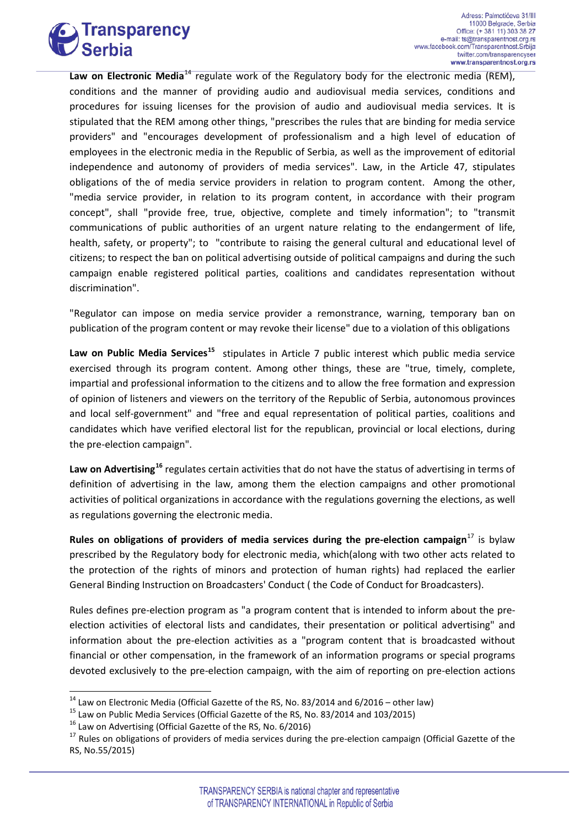

Law on Electronic Media<sup>[14](#page-6-1)</sup> regulate work of the Regulatory body for the electronic media (REM), conditions and the manner of providing audio and audiovisual media services, conditions and procedures for issuing licenses for the provision of audio and audiovisual media services. It is stipulated that the REM among other things, "prescribes the rules that are binding for media service providers" and "encourages development of professionalism and a high level of education of employees in the electronic media in the Republic of Serbia, as well as the improvement of editorial independence and autonomy of providers of media services". Law, in the Article 47, stipulates obligations of the of media service providers in relation to program content. Among the other, "media service provider, in relation to its program content, in accordance with their program concept", shall "provide free, true, objective, complete and timely information"; to "transmit communications of public authorities of an urgent nature relating to the endangerment of life, health, safety, or property"; to "contribute to raising the general cultural and educational level of citizens; to respect the ban on political advertising outside of political campaigns and during the such campaign enable registered political parties, coalitions and candidates representation without discrimination".

"Regulator can impose on media service provider a remonstrance, warning, temporary ban on publication of the program content or may revoke their license" due to a violation of this obligations

**Law on Public Media Services[15](#page-7-0)** stipulates in Article 7 public interest which public media service exercised through its program content. Among other things, these are "true, timely, complete, impartial and professional information to the citizens and to allow the free formation and expression of opinion of listeners and viewers on the territory of the Republic of Serbia, autonomous provinces and local self-government" and "free and equal representation of political parties, coalitions and candidates which have verified electoral list for the republican, provincial or local elections, during the pre-election campaign".

**Law on Advertising[16](#page-7-1)** regulates certain activities that do not have the status of advertising in terms of definition of advertising in the law, among them the election campaigns and other promotional activities of political organizations in accordance with the regulations governing the elections, as well as regulations governing the electronic media.

**Rules on obligations of providers of media services during the pre-election campaign**[17](#page-7-2) is bylaw prescribed by the Regulatory body for electronic media, which(along with two other acts related to the protection of the rights of minors and protection of human rights) had replaced the earlier General Binding Instruction on Broadcasters' Conduct ( the Code of Conduct for Broadcasters).

Rules defines pre-election program as "a program content that is intended to inform about the preelection activities of electoral lists and candidates, their presentation or political advertising" and information about the pre-election activities as a "program content that is broadcasted without financial or other compensation, in the framework of an information programs or special programs devoted exclusively to the pre-election campaign, with the aim of reporting on pre-election actions

<span id="page-7-0"></span>

<span id="page-7-2"></span><span id="page-7-1"></span>

<span id="page-7-3"></span><sup>&</sup>lt;sup>14</sup> Law on Electronic Media (Official Gazette of the RS, No. 83/2014 and 6/2016 – other law)<br><sup>15</sup> Law on Public Media Services (Official Gazette of the RS, No. 83/2014 and 103/2015)<br><sup>16</sup> Law on Advertising (Official Gaze RS, No.55/2015)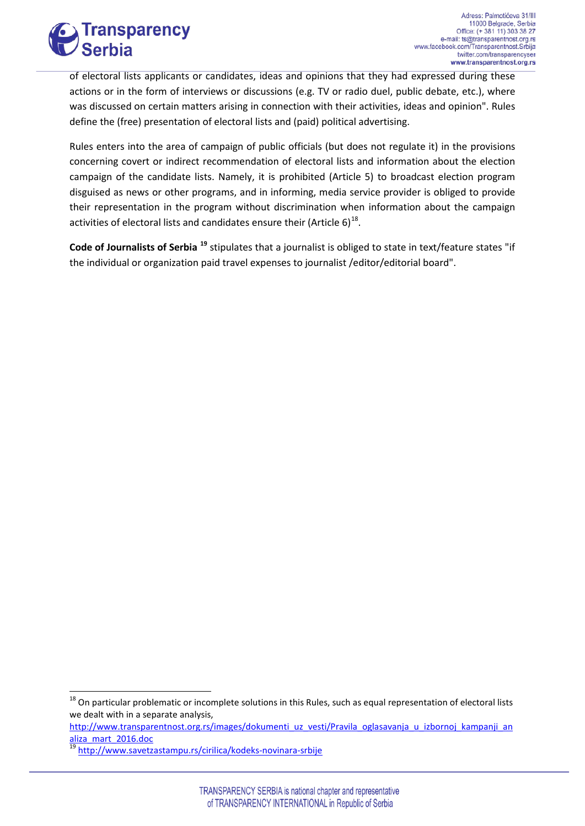

of electoral lists applicants or candidates, ideas and opinions that they had expressed during these actions or in the form of interviews or discussions (e.g. TV or radio duel, public debate, etc.), where was discussed on certain matters arising in connection with their activities, ideas and opinion". Rules define the (free) presentation of electoral lists and (paid) political advertising.

Rules enters into the area of campaign of public officials (but does not regulate it) in the provisions concerning covert or indirect recommendation of electoral lists and information about the election campaign of the candidate lists. Namely, it is prohibited (Article 5) to broadcast election program disguised as news or other programs, and in informing, media service provider is obliged to provide their representation in the program without discrimination when information about the campaign activities of electoral lists and candidates ensure their (Article  $6)^{18}$ .

**Code of Journalists of Serbia [19](#page-8-0)** stipulates that a journalist is obliged to state in text/feature states "if the individual or organization paid travel expenses to journalist /editor/editorial board".

<span id="page-8-1"></span>[http://www.transparentnost.org.rs/images/dokumenti\\_uz\\_vesti/Pravila\\_oglasavanja\\_u\\_izbornoj\\_kampanji\\_an](http://www.transparentnost.org.rs/images/dokumenti_uz_vesti/Pravila_oglasavanja_u_izbornoj_kampanji_analiza_mart_2016.doc) [aliza\\_mart\\_2016.doc](http://www.transparentnost.org.rs/images/dokumenti_uz_vesti/Pravila_oglasavanja_u_izbornoj_kampanji_analiza_mart_2016.doc)

<sup>&</sup>lt;sup>18</sup> On particular problematic or incomplete solutions in this Rules, such as equal representation of electoral lists we dealt with in a separate analysis,

<span id="page-8-0"></span><sup>19</sup> <http://www.savetzastampu.rs/cirilica/kodeks-novinara-srbije>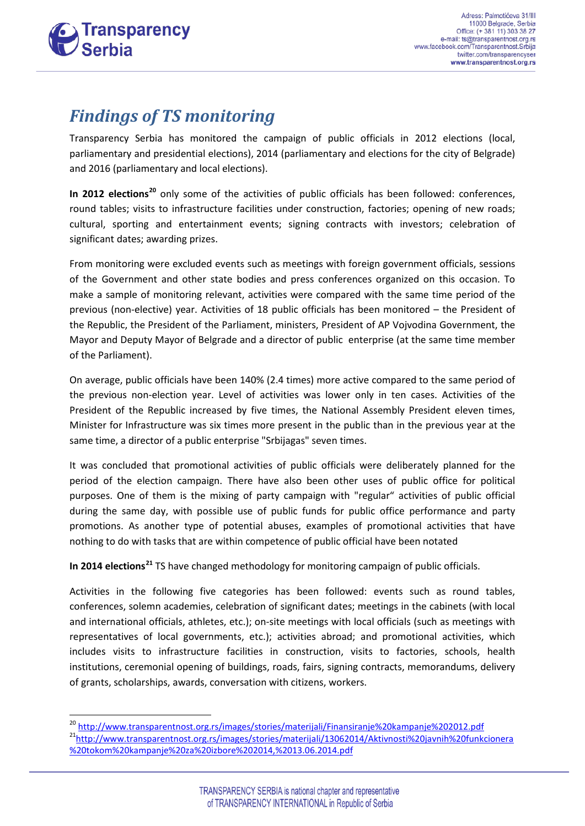

#### *Findings of TS monitoring*

Transparency Serbia has monitored the campaign of public officials in 2012 elections (local, parliamentary and presidential elections), 2014 (parliamentary and elections for the city of Belgrade) and 2016 (parliamentary and local elections).

**In 2012 elections[20](#page-8-1)** only some of the activities of public officials has been followed: conferences, round tables; visits to infrastructure facilities under construction, factories; opening of new roads; cultural, sporting and entertainment events; signing contracts with investors; celebration of significant dates; awarding prizes.

From monitoring were excluded events such as meetings with foreign government officials, sessions of the Government and other state bodies and press conferences organized on this occasion. To make a sample of monitoring relevant, activities were compared with the same time period of the previous (non-elective) year. Activities of 18 public officials has been monitored – the President of the Republic, the President of the Parliament, ministers, President of AP Vojvodina Government, the Mayor and Deputy Mayor of Belgrade and a director of public enterprise (at the same time member of the Parliament).

On average, public officials have been 140% (2.4 times) more active compared to the same period of the previous non-election year. Level of activities was lower only in ten cases. Activities of the President of the Republic increased by five times, the National Assembly President eleven times, Minister for Infrastructure was six times more present in the public than in the previous year at the same time, a director of a public enterprise "Srbijagas" seven times.

It was concluded that promotional activities of public officials were deliberately planned for the period of the election campaign. There have also been other uses of public office for political purposes. One of them is the mixing of party campaign with "regular" activities of public official during the same day, with possible use of public funds for public office performance and party promotions. As another type of potential abuses, examples of promotional activities that have nothing to do with tasks that are within competence of public official have been notated

**In 2014 elections[21](#page-9-0)** TS have changed methodology for monitoring campaign of public officials.

Activities in the following five categories has been followed: events such as round tables, conferences, solemn academies, celebration of significant dates; meetings in the cabinets (with local and international officials, athletes, etc.); on-site meetings with local officials (such as meetings with representatives of local governments, etc.); activities abroad; and promotional activities, which includes visits to infrastructure facilities in construction, visits to factories, schools, health institutions, ceremonial opening of buildings, roads, fairs, signing contracts, memorandums, delivery of grants, scholarships, awards, conversation with citizens, workers.

<span id="page-9-0"></span><sup>&</sup>lt;sup>20</sup> <http://www.transparentnost.org.rs/images/stories/materijali/Finansiranje%20kampanje%202012.pdf><br><sup>21</sup>http://www.transparentnost.org.rs/images/stories/materijali/13062014/Aktivnosti%20javnih%20funkcionera [%20tokom%20kampanje%20za%20izbore%202014,%2013.06.2014.pdf](http://www.transparentnost.org.rs/images/stories/materijali/13062014/Aktivnosti%20javnih%20funkcionera%20tokom%20kampanje%20za%20izbore%202014,%2013.06.2014.pdf)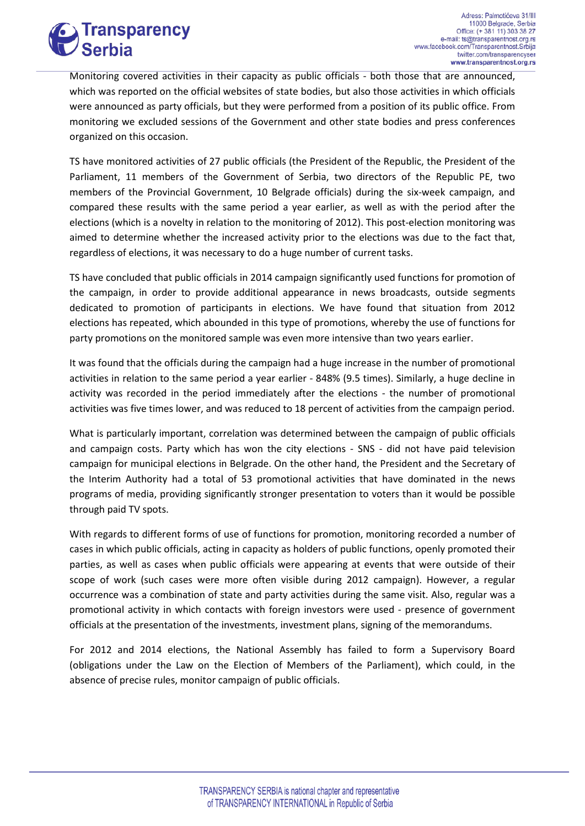

Monitoring covered activities in their capacity as public officials - both those that are announced, which was reported on the official websites of state bodies, but also those activities in which officials were announced as party officials, but they were performed from a position of its public office. From monitoring we excluded sessions of the Government and other state bodies and press conferences organized on this occasion.

TS have monitored activities of 27 public officials (the President of the Republic, the President of the Parliament, 11 members of the Government of Serbia, two directors of the Republic PE, two members of the Provincial Government, 10 Belgrade officials) during the six-week campaign, and compared these results with the same period a year earlier, as well as with the period after the elections (which is a novelty in relation to the monitoring of 2012). This post-election monitoring was aimed to determine whether the increased activity prior to the elections was due to the fact that, regardless of elections, it was necessary to do a huge number of current tasks.

TS have concluded that public officials in 2014 campaign significantly used functions for promotion of the campaign, in order to provide additional appearance in news broadcasts, outside segments dedicated to promotion of participants in elections. We have found that situation from 2012 elections has repeated, which abounded in this type of promotions, whereby the use of functions for party promotions on the monitored sample was even more intensive than two years earlier.

It was found that the officials during the campaign had a huge increase in the number of promotional activities in relation to the same period a year earlier - 848% (9.5 times). Similarly, a huge decline in activity was recorded in the period immediately after the elections - the number of promotional activities was five times lower, and was reduced to 18 percent of activities from the campaign period.

What is particularly important, correlation was determined between the campaign of public officials and campaign costs. Party which has won the city elections - SNS - did not have paid television campaign for municipal elections in Belgrade. On the other hand, the President and the Secretary of the Interim Authority had a total of 53 promotional activities that have dominated in the news programs of media, providing significantly stronger presentation to voters than it would be possible through paid TV spots.

With regards to different forms of use of functions for promotion, monitoring recorded a number of cases in which public officials, acting in capacity as holders of public functions, openly promoted their parties, as well as cases when public officials were appearing at events that were outside of their scope of work (such cases were more often visible during 2012 campaign). However, a regular occurrence was a combination of state and party activities during the same visit. Also, regular was a promotional activity in which contacts with foreign investors were used - presence of government officials at the presentation of the investments, investment plans, signing of the memorandums.

For 2012 and 2014 elections, the National Assembly has failed to form a Supervisory Board (obligations under the Law on the Election of Members of the Parliament), which could, in the absence of precise rules, monitor campaign of public officials.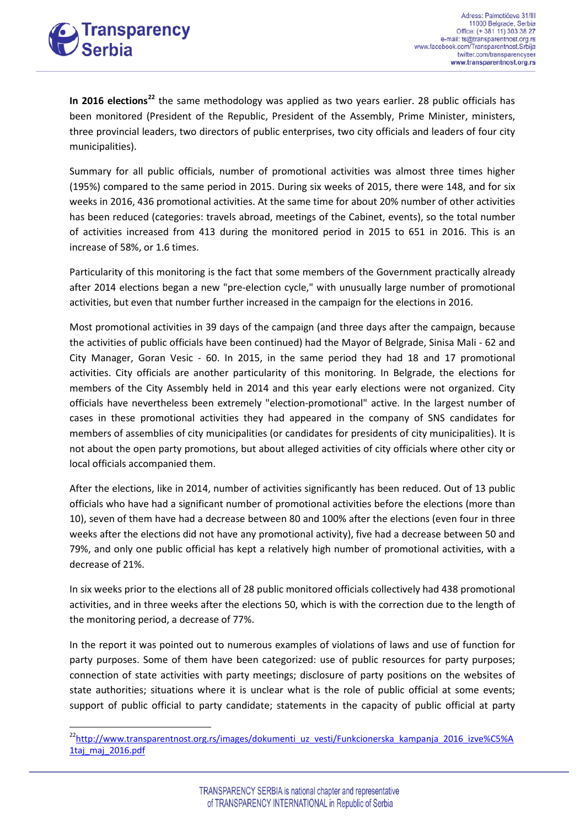

**In 2016 elections[22](#page-9-0)** the same methodology was applied as two years earlier. 28 public officials has been monitored (President of the Republic, President of the Assembly, Prime Minister, ministers, three provincial leaders, two directors of public enterprises, two city officials and leaders of four city municipalities).

Summary for all public officials, number of promotional activities was almost three times higher (195%) compared to the same period in 2015. During six weeks of 2015, there were 148, and for six weeks in 2016, 436 promotional activities. At the same time for about 20% number of other activities has been reduced (categories: travels abroad, meetings of the Cabinet, events), so the total number of activities increased from 413 during the monitored period in 2015 to 651 in 2016. This is an increase of 58%, or 1.6 times.

Particularity of this monitoring is the fact that some members of the Government practically already after 2014 elections began a new "pre-election cycle," with unusually large number of promotional activities, but even that number further increased in the campaign for the elections in 2016.

Most promotional activities in 39 days of the campaign (and three days after the campaign, because the activities of public officials have been continued) had the Mayor of Belgrade, Sinisa Mali - 62 and City Manager, Goran Vesic - 60. In 2015, in the same period they had 18 and 17 promotional activities. City officials are another particularity of this monitoring. In Belgrade, the elections for members of the City Assembly held in 2014 and this year early elections were not organized. City officials have nevertheless been extremely "election-promotional" active. In the largest number of cases in these promotional activities they had appeared in the company of SNS candidates for members of assemblies of city municipalities (or candidates for presidents of city municipalities). It is not about the open party promotions, but about alleged activities of city officials where other city or local officials accompanied them.

After the elections, like in 2014, number of activities significantly has been reduced. Out of 13 public officials who have had a significant number of promotional activities before the elections (more than 10), seven of them have had a decrease between 80 and 100% after the elections (even four in three weeks after the elections did not have any promotional activity), five had a decrease between 50 and 79%, and only one public official has kept a relatively high number of promotional activities, with a decrease of 21%.

In six weeks prior to the elections all of 28 public monitored officials collectively had 438 promotional activities, and in three weeks after the elections 50, which is with the correction due to the length of the monitoring period, a decrease of 77%.

In the report it was pointed out to numerous examples of violations of laws and use of function for party purposes. Some of them have been categorized: use of public resources for party purposes; connection of state activities with party meetings; disclosure of party positions on the websites of state authorities; situations where it is unclear what is the role of public official at some events; support of public official to party candidate; statements in the capacity of public official at party

<span id="page-11-0"></span><sup>&</sup>lt;sup>22</sup>http://www.transparentnost.org.rs/images/dokumenti\_uz\_vesti/Funkcionerska\_kampanja\_2016\_izve%C5%A 1taj maj 2016.pdf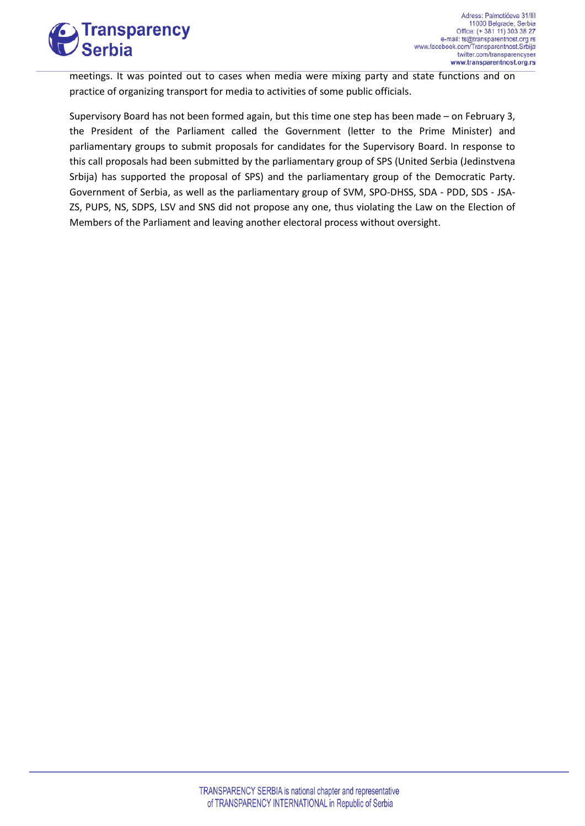

meetings. It was pointed out to cases when media were mixing party and state functions and on practice of organizing transport for media to activities of some public officials.

Supervisory Board has not been formed again, but this time one step has been made – on February 3, the President of the Parliament called the Government (letter to the Prime Minister) and parliamentary groups to submit proposals for candidates for the Supervisory Board. In response to this call proposals had been submitted by the parliamentary group of SPS (United Serbia (Jedinstvena Srbija) has supported the proposal of SPS) and the parliamentary group of the Democratic Party. Government of Serbia, as well as the parliamentary group of SVM, SPO-DHSS, SDA - PDD, SDS - JSA-ZS, PUPS, NS, SDPS, LSV and SNS did not propose any one, thus violating the Law on the Election of Members of the Parliament and leaving another electoral process without oversight.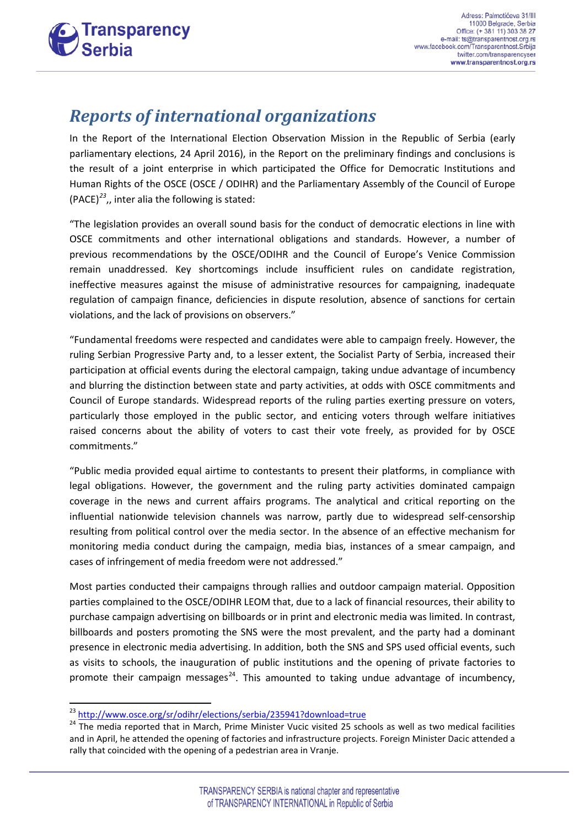

#### *Reports of international organizations*

In the Report of the International Election Observation Mission in the Republic of Serbia (early parliamentary elections, 24 April 2016), in the Report on the preliminary findings and conclusions is the result of a joint enterprise in which participated the Office for Democratic Institutions and Human Rights of the OSCE (OSCE / ODIHR) and the Parliamentary Assembly of the Council of Europe (PACE)*[23](#page-11-0)*,, inter alia the following is stated:

"The legislation provides an overall sound basis for the conduct of democratic elections in line with OSCE commitments and other international obligations and standards. However, a number of previous recommendations by the OSCE/ODIHR and the Council of Europe's Venice Commission remain unaddressed. Key shortcomings include insufficient rules on candidate registration, ineffective measures against the misuse of administrative resources for campaigning, inadequate regulation of campaign finance, deficiencies in dispute resolution, absence of sanctions for certain violations, and the lack of provisions on observers."

"Fundamental freedoms were respected and candidates were able to campaign freely. However, the ruling Serbian Progressive Party and, to a lesser extent, the Socialist Party of Serbia, increased their participation at official events during the electoral campaign, taking undue advantage of incumbency and blurring the distinction between state and party activities, at odds with OSCE commitments and Council of Europe standards. Widespread reports of the ruling parties exerting pressure on voters, particularly those employed in the public sector, and enticing voters through welfare initiatives raised concerns about the ability of voters to cast their vote freely, as provided for by OSCE commitments."

"Public media provided equal airtime to contestants to present their platforms, in compliance with legal obligations. However, the government and the ruling party activities dominated campaign coverage in the news and current affairs programs. The analytical and critical reporting on the influential nationwide television channels was narrow, partly due to widespread self-censorship resulting from political control over the media sector. In the absence of an effective mechanism for monitoring media conduct during the campaign, media bias, instances of a smear campaign, and cases of infringement of media freedom were not addressed."

<span id="page-13-1"></span>Most parties conducted their campaigns through rallies and outdoor campaign material. Opposition parties complained to the OSCE/ODIHR LEOM that, due to a lack of financial resources, their ability to purchase campaign advertising on billboards or in print and electronic media was limited. In contrast, billboards and posters promoting the SNS were the most prevalent, and the party had a dominant presence in electronic media advertising. In addition, both the SNS and SPS used official events, such as visits to schools, the inauguration of public institutions and the opening of private factories to promote their campaign messages<sup>24</sup>. This amounted to taking undue advantage of incumbency,

<span id="page-13-0"></span>

<sup>&</sup>lt;sup>23</sup> <http://www.osce.org/sr/odihr/elections/serbia/235941?download=true><br><sup>24</sup> The media reported that in March, Prime Minister Vucic visited 25 schools as well as two medical facilities and in April, he attended the opening of factories and infrastructure projects. Foreign Minister Dacic attended a rally that coincided with the opening of a pedestrian area in Vranje.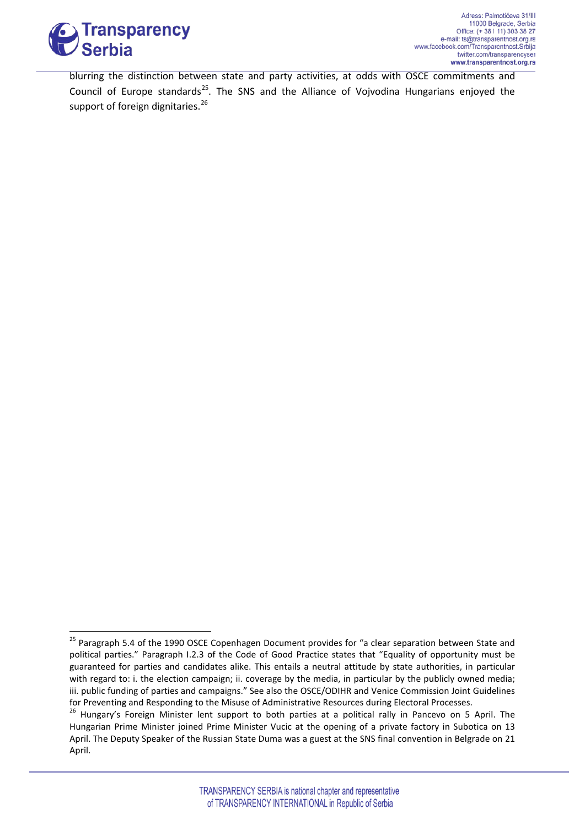

blurring the distinction between state and party activities, at odds with OSCE commitments and Council of Europe standards<sup>[25](#page-13-1)</sup>. The SNS and the Alliance of Vojvodina Hungarians enjoyed the support of foreign dignitaries.<sup>[26](#page-14-0)</sup>

<span id="page-14-1"></span><sup>&</sup>lt;sup>25</sup> Paragraph 5.4 of the 1990 OSCE Copenhagen Document provides for "a clear separation between State and political parties." Paragraph I.2.3 of the Code of Good Practice states that "Equality of opportunity must be guaranteed for parties and candidates alike. This entails a neutral attitude by state authorities, in particular with regard to: i. the election campaign; ii. coverage by the media, in particular by the publicly owned media; iii. public funding of parties and campaigns." See also the OSCE/ODIHR and Venice Commission Joint Guidelines for Preventing and Responding to the Misuse of Administrative Resources during Electoral Processes.

<span id="page-14-0"></span><sup>&</sup>lt;sup>26</sup> Hungary's Foreign Minister lent support to both parties at a political rally in Pancevo on 5 April. The Hungarian Prime Minister joined Prime Minister Vucic at the opening of a private factory in Subotica on 13 April. The Deputy Speaker of the Russian State Duma was a guest at the SNS final convention in Belgrade on 21 April.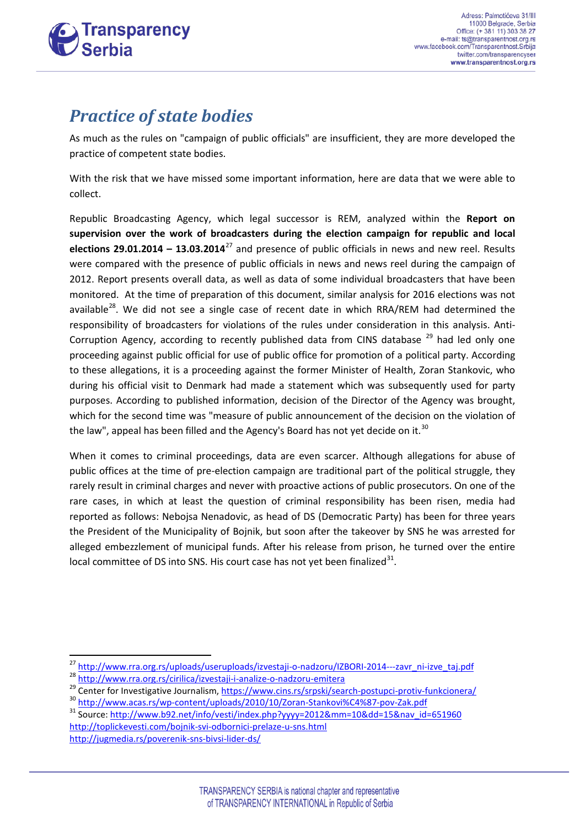

### *Practice of state bodies*

As much as the rules on "campaign of public officials" are insufficient, they are more developed the practice of competent state bodies.

With the risk that we have missed some important information, here are data that we were able to collect.

Republic Broadcasting Agency, which legal successor is REM, analyzed within the **Report on supervision over the work of broadcasters during the election campaign for republic and local elections 29.01.2014 – 13.03.2014**[27](#page-14-1) and presence of public officials in news and new reel. Results were compared with the presence of public officials in news and news reel during the campaign of 2012. Report presents overall data, as well as data of some individual broadcasters that have been monitored. At the time of preparation of this document, similar analysis for 2016 elections was not available<sup>28</sup>. We did not see a single case of recent date in which RRA/REM had determined the responsibility of broadcasters for violations of the rules under consideration in this analysis. Anti-Corruption Agency, according to recently published data from CINS database  $^{29}$  $^{29}$  $^{29}$  had led only one proceeding against public official for use of public office for promotion of a political party. According to these allegations, it is a proceeding against the former Minister of Health, Zoran Stankovic, who during his official visit to Denmark had made a statement which was subsequently used for party purposes. According to published information, decision of the Director of the Agency was brought, which for the second time was "measure of public announcement of the decision on the violation of the law", appeal has been filled and the Agency's Board has not yet decide on it.<sup>[30](#page-15-2)</sup>

When it comes to criminal proceedings, data are even scarcer. Although allegations for abuse of public offices at the time of pre-election campaign are traditional part of the political struggle, they rarely result in criminal charges and never with proactive actions of public prosecutors. On one of the rare cases, in which at least the question of criminal responsibility has been risen, media had reported as follows: Nebojsa Nenadovic, as head of DS (Democratic Party) has been for three years the President of the Municipality of Bojnik, but soon after the takeover by SNS he was arrested for alleged embezzlement of municipal funds. After his release from prison, he turned over the entire local committee of DS into SNS. His court case has not yet been finalized $31$ .

<span id="page-15-3"></span><http://toplickevesti.com/bojnik-svi-odbornici-prelaze-u-sns.html> <http://jugmedia.rs/poverenik-sns-bivsi-lider-ds/>

<span id="page-15-1"></span><span id="page-15-0"></span>

 $\frac{\frac{27}{10} \frac{http://www.rra.org.rs/uploads/useruploads/izestaji-o-nadzoru/IZBORI-2014---zavr-ni-zzvr} {http://www.rra.org.rs/cirilica/izvestaji-in-analize-o-nadzoru-emitera}}{29 \text{ Center for Investigative Journalism, [https://www.acas.rs/wp-content/uploads/2010/10/Zoran-Stankovi%C4%87-pov-Zak.pdf](https://www.cins.rs/srpski/search-postupci-protiv-funkcionera/)}} \frac{http://www.acas.rs/wp-content/uploads/2010/10/Zoran-Stankovi%C4%87-pov-Zak.pdf}{30$  $\frac{\frac{27}{10} \frac{http://www.rra.org.rs/uploads/useruploads/izestaji-o-nadzoru/IZBORI-2014---zavr-ni-zzvr} {http://www.rra.org.rs/cirilica/izvestaji-in-analize-o-nadzoru-emitera}}{29 \text{ Center for Investigative Journalism, [https://www.acas.rs/wp-content/uploads/2010/10/Zoran-Stankovi%C4%87-pov-Zak.pdf](https://www.cins.rs/srpski/search-postupci-protiv-funkcionera/)}} \frac{http://www.acas.rs/wp-content/uploads/2010/10/Zoran-Stankovi%C4%87-pov-Zak.pdf}{30$  $\frac{\frac{27}{10} \frac{http://www.rra.org.rs/uploads/useruploads/izestaji-o-nadzoru/IZBORI-2014---zavr-ni-zzvr} {http://www.rra.org.rs/cirilica/izvestaji-in-analize-o-nadzoru-emitera}}{29 \text{ Center for Investigative Journalism, [https://www.acas.rs/wp-content/uploads/2010/10/Zoran-Stankovi%C4%87-pov-Zak.pdf](https://www.cins.rs/srpski/search-postupci-protiv-funkcionera/)}} \frac{http://www.acas.rs/wp-content/uploads/2010/10/Zoran-Stankovi%C4%87-pov-Zak.pdf}{30$ 

<span id="page-15-2"></span>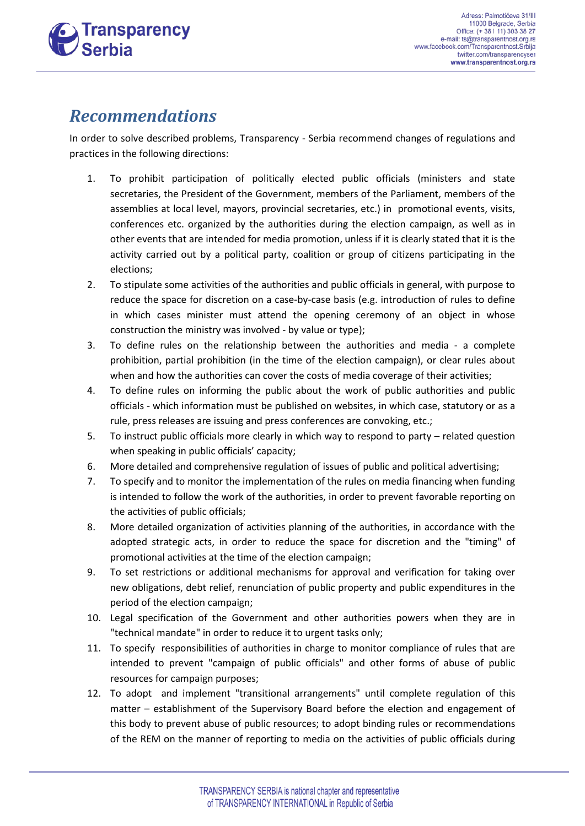

#### *Recommendations*

In order to solve described problems, Transparency - Serbia recommend changes of regulations and practices in the following directions:

- 1. To prohibit participation of politically elected public officials (ministers and state secretaries, the President of the Government, members of the Parliament, members of the assemblies at local level, mayors, provincial secretaries, etc.) in promotional events, visits, conferences etc. organized by the authorities during the election campaign, as well as in other events that are intended for media promotion, unless if it is clearly stated that it is the activity carried out by a political party, coalition or group of citizens participating in the elections;
- 2. To stipulate some activities of the authorities and public officials in general, with purpose to reduce the space for discretion on a case-by-case basis (e.g. introduction of rules to define in which cases minister must attend the opening ceremony of an object in whose construction the ministry was involved - by value or type);
- 3. To define rules on the relationship between the authorities and media a complete prohibition, partial prohibition (in the time of the election campaign), or clear rules about when and how the authorities can cover the costs of media coverage of their activities;
- 4. To define rules on informing the public about the work of public authorities and public officials - which information must be published on websites, in which case, statutory or as a rule, press releases are issuing and press conferences are convoking, etc.;
- 5. To instruct public officials more clearly in which way to respond to party related question when speaking in public officials' capacity;
- 6. More detailed and comprehensive regulation of issues of public and political advertising;
- 7. To specify and to monitor the implementation of the rules on media financing when funding is intended to follow the work of the authorities, in order to prevent favorable reporting on the activities of public officials;
- 8. More detailed organization of activities planning of the authorities, in accordance with the adopted strategic acts, in order to reduce the space for discretion and the "timing" of promotional activities at the time of the election campaign;
- 9. To set restrictions or additional mechanisms for approval and verification for taking over new obligations, debt relief, renunciation of public property and public expenditures in the period of the election campaign;
- 10. Legal specification of the Government and other authorities powers when they are in "technical mandate" in order to reduce it to urgent tasks only;
- 11. To specify responsibilities of authorities in charge to monitor compliance of rules that are intended to prevent "campaign of public officials" and other forms of abuse of public resources for campaign purposes;
- 12. To adopt and implement "transitional arrangements" until complete regulation of this matter – establishment of the Supervisory Board before the election and engagement of this body to prevent abuse of public resources; to adopt binding rules or recommendations of the REM on the manner of reporting to media on the activities of public officials during